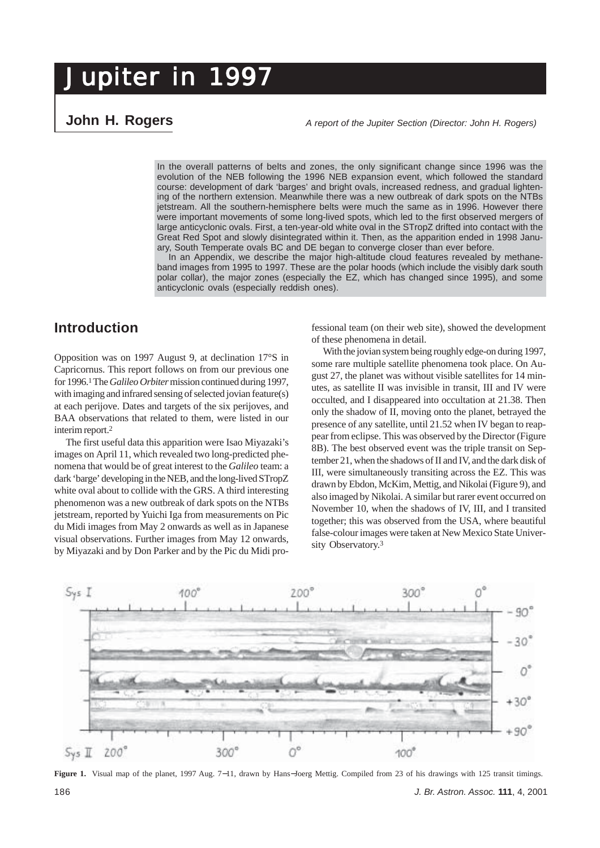# **John H. Rogers**

*A report of the Jupiter Section (Director: John H. Rogers)*

In the overall patterns of belts and zones, the only significant change since 1996 was the evolution of the NEB following the 1996 NEB expansion event, which followed the standard course: development of dark 'barges' and bright ovals, increased redness, and gradual lightening of the northern extension. Meanwhile there was a new outbreak of dark spots on the NTBs jetstream. All the southern-hemisphere belts were much the same as in 1996. However there were important movements of some long-lived spots, which led to the first observed mergers of large anticyclonic ovals. First, a ten-year-old white oval in the STropZ drifted into contact with the Great Red Spot and slowly disintegrated within it. Then, as the apparition ended in 1998 January, South Temperate ovals BC and DE began to converge closer than ever before.

In an Appendix, we describe the major high-altitude cloud features revealed by methaneband images from 1995 to 1997. These are the polar hoods (which include the visibly dark south polar collar), the major zones (especially the EZ, which has changed since 1995), and some anticyclonic ovals (especially reddish ones).

# **Introduction**

Opposition was on 1997 August 9, at declination 17°S in Capricornus. This report follows on from our previous one for 1996.<sup>1</sup> The *Galileo Orbiter* mission continued during 1997, with imaging and infrared sensing of selected jovian feature(s) at each perijove. Dates and targets of the six perijoves, and BAA observations that related to them, were listed in our interim report.2

The first useful data this apparition were Isao Miyazaki's images on April 11, which revealed two long-predicted phenomena that would be of great interest to the *Galileo* team: a dark 'barge' developing in the NEB, and the long-lived STropZ white oval about to collide with the GRS. A third interesting phenomenon was a new outbreak of dark spots on the NTBs jetstream, reported by Yuichi Iga from measurements on Pic du Midi images from May 2 onwards as well as in Japanese visual observations. Further images from May 12 onwards, by Miyazaki and by Don Parker and by the Pic du Midi pro-

fessional team (on their web site), showed the development of these phenomena in detail.

With the jovian system being roughly edge-on during 1997, some rare multiple satellite phenomena took place. On August 27, the planet was without visible satellites for 14 minutes, as satellite II was invisible in transit, III and IV were occulted, and I disappeared into occultation at 21.38. Then only the shadow of II, moving onto the planet, betrayed the presence of any satellite, until 21.52 when IV began to reappear from eclipse. This was observed by the Director (Figure 8B). The best observed event was the triple transit on September 21, when the shadows of II and IV, and the dark disk of III, were simultaneously transiting across the EZ. This was drawn by Ebdon, McKim, Mettig, and Nikolai (Figure 9), and also imaged by Nikolai. A similar but rarer event occurred on November 10, when the shadows of IV, III, and I transited together; this was observed from the USA, where beautiful false-colour images were taken at New Mexico State University Observatory.3



**Figure 1.** Visual map of the planet, 1997 Aug. 7−11, drawn by Hans−Joerg Mettig. Compiled from 23 of his drawings with 125 transit timings. 186 *J. Br. Astron. Assoc.* **111**, 4, 2001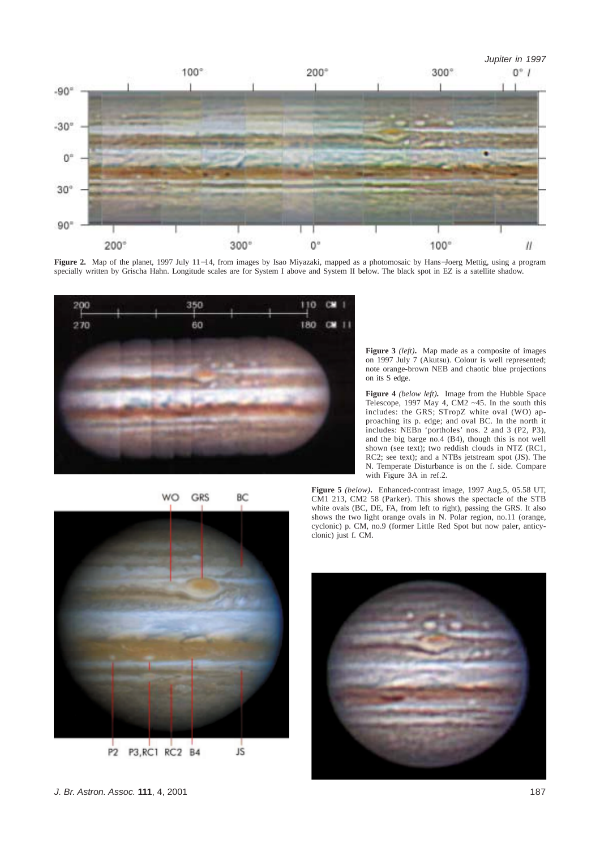

**Figure 2.** Map of the planet, 1997 July 11−14, from images by Isao Miyazaki, mapped as a photomosaic by Hans−Joerg Mettig, using a program specially written by Grischa Hahn. Longitude scales are for System I above and System II below. The black spot in EZ is a satellite shadow.



**Figure 3** *(left)***.** Map made as a composite of images on 1997 July 7 (Akutsu). Colour is well represented; note orange-brown NEB and chaotic blue projections on its S edge.

**Figure 4** *(below left)***.** Image from the Hubble Space Telescope, 1997 May 4, CM2 ~45. In the south this includes: the GRS; STropZ white oval (WO) approaching its p. edge; and oval BC. In the north it includes: NEBn 'portholes' nos. 2 and 3 (P2, P3), and the big barge no.4 (B4), though this is not well shown (see text); two reddish clouds in NTZ (RC1, RC2; see text); and a NTBs jetstream spot (JS). The N. Temperate Disturbance is on the f. side. Compare with Figure 3A in ref.2.



**Figure 5** *(below)***.** Enhanced-contrast image, 1997 Aug.5, 05.58 UT, CM1 213, CM2 58 (Parker). This shows the spectacle of the STB white ovals (BC, DE, FA, from left to right), passing the GRS. It also shows the two light orange ovals in N. Polar region, no.11 (orange, cyclonic) p. CM, no.9 (former Little Red Spot but now paler, anticyclonic) just f. CM.



*J. Br. Astron. Assoc.* **111**, 4, 2001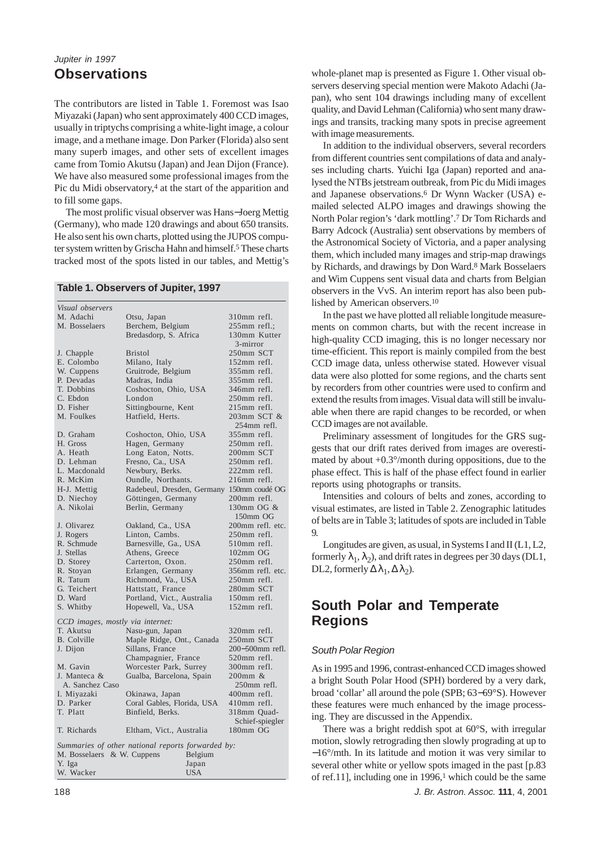# *Jupiter in 1997* **Observations**

The contributors are listed in Table 1. Foremost was Isao Miyazaki (Japan) who sent approximately 400 CCD images, usually in triptychs comprising a white-light image, a colour image, and a methane image. Don Parker (Florida) also sent many superb images, and other sets of excellent images came from Tomio Akutsu (Japan) and Jean Dijon (France). We have also measured some professional images from the Pic du Midi observatory,<sup>4</sup> at the start of the apparition and to fill some gaps.

The most prolific visual observer was Hans−Joerg Mettig (Germany), who made 120 drawings and about 650 transits. He also sent his own charts, plotted using the JUPOS computer system written by Grischa Hahn and himself.<sup>5</sup> These charts tracked most of the spots listed in our tables, and Mettig's

#### **Table 1. Observers of Jupiter, 1997**

| Visual observers                 |                                                   |                    |
|----------------------------------|---------------------------------------------------|--------------------|
| M. Adachi                        | Otsu, Japan                                       | 310mm refl.        |
| M. Bosselaers                    | Berchem, Belgium                                  | $255$ mm refl.;    |
|                                  | Bredasdorp, S. Africa                             | 130mm Kutter       |
|                                  |                                                   | 3-mirror           |
| J. Chapple                       | Bristol                                           | 250mm SCT          |
| E. Colombo                       | Milano, Italy                                     | 152mm refl.        |
| W. Cuppens                       | Gruitrode, Belgium                                | 355mm refl.        |
| P. Devadas                       | Madras, India                                     | $355$ mm refl.     |
| T. Dobbins                       |                                                   | 346mm refl.        |
| C. Ebdon                         | Coshocton, Ohio, USA<br>London                    | 250mm refl.        |
| D. Fisher                        |                                                   | 215mm refl.        |
|                                  | Sittingbourne, Kent                               |                    |
| M. Foulkes                       | Hatfield, Herts.                                  | 203mm SCT &        |
|                                  |                                                   | 254mm refl.        |
| D. Graham                        | Coshocton, Ohio, USA                              | 355mm refl.        |
| H. Gross                         | Hagen, Germany                                    | 250mm refl.        |
| A. Heath                         | Long Eaton, Notts.                                | 200mm SCT          |
| D. Lehman                        | Fresno, Ca., USA                                  | 250mm refl.        |
| L. Macdonald                     | Newbury, Berks.                                   | 222mm refl.        |
| R. McKim                         | Oundle, Northants.                                | 216mm refl.        |
| H-J. Mettig                      | Radebeul, Dresden, Germany 150mm coudé OG         |                    |
| D. Niechoy                       | Göttingen, Germany                                | 200mm refl.        |
| A. Nikolai                       | Berlin, Germany                                   | 130mm OG &         |
|                                  |                                                   | 150mm OG           |
| J. Olivarez                      | Oakland, Ca., USA                                 | 200mm refl. etc.   |
| J. Rogers                        | Linton, Cambs.                                    | 250mm refl.        |
| R. Schmude                       | Barnesville, Ga., USA                             | 510mm refl.        |
| J. Stellas                       | Athens, Greece                                    | $102 \text{mm}$ OG |
| D. Storey                        | Carterton, Oxon.                                  | 250mm refl.        |
| R. Stoyan                        | Erlangen, Germany                                 | 356mm refl. etc.   |
| R. Tatum                         | Richmond, Va., USA                                | 250mm refl.        |
| G. Teichert                      | Hattstatt, France                                 | 280mm SCT          |
| D. Ward                          | Portland, Vict., Australia                        | 150mm refl.        |
| S. Whitby                        | Hopewell, Va., USA                                | 152mm refl.        |
| CCD images, mostly via internet: |                                                   |                    |
| T. Akutsu                        | Nasu-gun, Japan                                   | 320mm refl.        |
| <b>B.</b> Colville               | Maple Ridge, Ont., Canada                         | 250mm SCT          |
| J. Dijon                         | Sillans, France                                   | 200-500mm refl.    |
|                                  | Champagnier, France                               | 520mm refl.        |
| M. Gavin                         | Worcester Park, Surrey                            | 300mm refl.        |
| J. Manteca &                     | Gualba, Barcelona, Spain                          | 200mm &            |
| A. Sanchez Caso                  |                                                   | 250mm refl.        |
| I. Miyazaki                      | Okinawa, Japan                                    | 400mm refl.        |
| D. Parker                        | Coral Gables, Florida, USA                        | 410mm refl.        |
| T. Platt                         | Binfield, Berks.                                  | 318mm Quad-        |
|                                  |                                                   | Schief-spiegler    |
| T. Richards                      | Eltham, Vict., Australia                          | 180mm OG           |
|                                  |                                                   |                    |
|                                  | Summaries of other national reports forwarded by: |                    |
| M. Bosselaers & W. Cuppens       | Belgium                                           |                    |
| Y. Iga                           | Japan                                             |                    |
| W. Wacker                        | USA                                               |                    |

whole-planet map is presented as Figure 1. Other visual observers deserving special mention were Makoto Adachi (Japan), who sent 104 drawings including many of excellent quality, and David Lehman (California) who sent many drawings and transits, tracking many spots in precise agreement with image measurements.

In addition to the individual observers, several recorders from different countries sent compilations of data and analyses including charts. Yuichi Iga (Japan) reported and analysed the NTBs jetstream outbreak, from Pic du Midi images and Japanese observations.6 Dr Wynn Wacker (USA) emailed selected ALPO images and drawings showing the North Polar region's 'dark mottling'.7 Dr Tom Richards and Barry Adcock (Australia) sent observations by members of the Astronomical Society of Victoria, and a paper analysing them, which included many images and strip-map drawings by Richards, and drawings by Don Ward.8 Mark Bosselaers and Wim Cuppens sent visual data and charts from Belgian observers in the VvS. An interim report has also been published by American observers.10

In the past we have plotted all reliable longitude measurements on common charts, but with the recent increase in high-quality CCD imaging, this is no longer necessary nor time-efficient. This report is mainly compiled from the best CCD image data, unless otherwise stated. However visual data were also plotted for some regions, and the charts sent by recorders from other countries were used to confirm and extend the results from images. Visual data will still be invaluable when there are rapid changes to be recorded, or when CCD images are not available.

Preliminary assessment of longitudes for the GRS suggests that our drift rates derived from images are overestimated by about  $+0.3^{\circ}/$ month during oppositions, due to the phase effect. This is half of the phase effect found in earlier reports using photographs or transits.

Intensities and colours of belts and zones, according to visual estimates, are listed in Table 2. Zenographic latitudes of belts are in Table 3; latitudes of spots are included in Table 9.

Longitudes are given, as usual, in Systems I and II (L1, L2, formerly  $\lambda_1, \lambda_2$ ), and drift rates in degrees per 30 days (DL1, DL2, formerly  $\Delta \lambda_1, \Delta \lambda_2$ ).

# **South Polar and Temperate Regions**

#### *South Polar Region*

As in 1995 and 1996, contrast-enhanced CCD images showed a bright South Polar Hood (SPH) bordered by a very dark, broad 'collar' all around the pole (SPB; 63−69°S). However these features were much enhanced by the image processing. They are discussed in the Appendix.

There was a bright reddish spot at 60°S, with irregular motion, slowly retrograding then slowly prograding at up to −16°/mth. In its latitude and motion it was very similar to several other white or yellow spots imaged in the past [p.83 of ref.11], including one in  $1996<sup>1</sup>$  which could be the same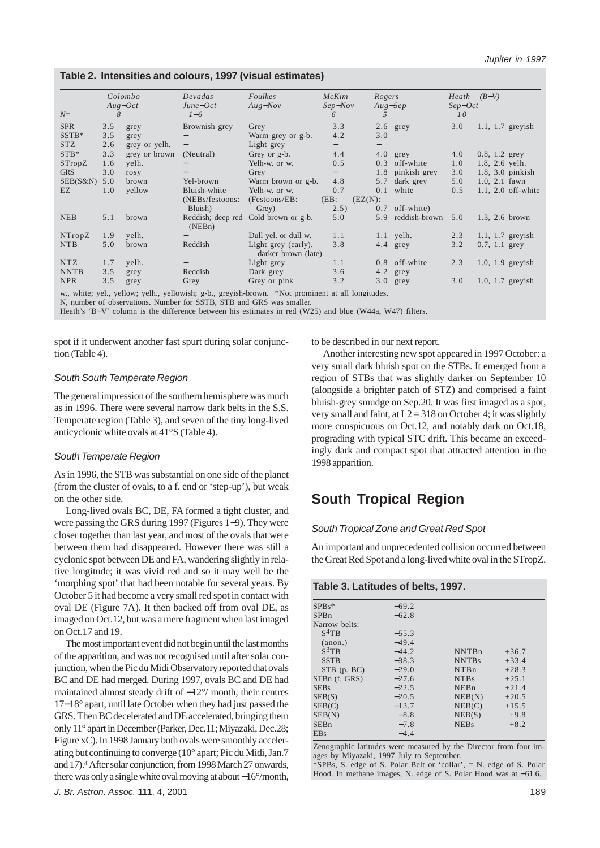## **Table 2. Intensities and colours, 1997 (visual estimates)**

|             |     | Colombo       | Devadas           | Foulkes                              | McKim                    | Rogers            |                 |                 | $Heath$ $(B-V)$       |
|-------------|-----|---------------|-------------------|--------------------------------------|--------------------------|-------------------|-----------------|-----------------|-----------------------|
|             |     | $Aug-Oct$     | $June-Oct$        | $Aug-Nov$                            | $Sep-Nov$                | $Aug-Sep$         |                 | $Sep-Oct$       |                       |
| $N=$        | 8   |               | $1-6$             |                                      | 6                        | $\mathfrak{F}$    |                 | 10 <sup>°</sup> |                       |
| <b>SPR</b>  | 3.5 | grey          | Brownish grey     | Grey                                 | 3.3                      |                   | $2.6$ grey      | 3.0             | $1.1$ , $1.7$ greyish |
| $SSTB*$     | 3.5 | grey          |                   | Warm grey or g-b.                    | 4.2                      | 3.0               |                 |                 |                       |
| <b>STZ</b>  | 2.6 | grey or yelh. | $\qquad \qquad -$ | Light grey                           | $\overline{\phantom{0}}$ | $\qquad \qquad -$ |                 |                 |                       |
| $STB*$      | 3.3 | grey or brown | (Neutral)         | Grey or g-b.                         | 4.4                      |                   | $4.0$ grey      | 4.0             | $0.8, 1.2$ grey       |
| STropZ      | 1.6 | yelh.         |                   | Yelh-w. or w.                        | 0.5                      |                   | $0.3$ off-white | 1.0             | 1.8, 2.6 yelh.        |
| <b>GRS</b>  | 3.0 | rosy          | $\qquad \qquad -$ | Grey                                 | $\qquad \qquad -$        | 1.8               | pinkish grey    | 3.0             | $1.8, 3.0$ pinkish    |
| SEB(S&N)    | 5.0 | brown         | Yel-brown         | Warm brown or g-b.                   | 4.8                      | 5.7               | dark grey       | 5.0             | $1.0, 2.1$ fawn       |
| EZ          | 1.0 | yellow        | Bluish-white      | Yelh-w. or w.                        | 0.7                      | 0.1               | white           | 0.5             | $1.1, 2.0$ off-white  |
|             |     |               | (NEBs/festoons:   | $(Festoons/EB)$ :                    | $(EB)$ :                 | $(EZ(N))$ :       |                 |                 |                       |
|             |     |               | Bluish)           | Grey)                                | 2.5)                     | 0.7               | off-white)      |                 |                       |
| <b>NEB</b>  | 5.1 | brown         |                   | Reddish; deep red Cold brown or g-b. | 5.0                      | 5.9               | reddish-brown   | 5.0             | 1.3, 2.6 brown        |
|             |     |               | (NEBn)            |                                      |                          |                   |                 |                 |                       |
| NTropZ      | 1.9 | yelh.         |                   | Dull yel. or dull w.                 | 1.1                      |                   | $1.1$ yelh.     | 2.3             | $1.1$ , $1.7$ greyish |
| <b>NTB</b>  | 5.0 | brown         | Reddish           | Light grey (early),                  | 3.8                      |                   | $4.4$ grey      | 3.2             | $0.7, 1.1$ grey       |
|             |     |               |                   | darker brown (late)                  |                          |                   |                 |                 |                       |
| <b>NTZ</b>  | 1.7 | yelh.         |                   | Light grey                           | 1.1                      |                   | 0.8 off-white   | 2.3             | $1.0$ , $1.9$ greyish |
| <b>NNTB</b> | 3.5 | grey          | Reddish           | Dark grey                            | 3.6                      |                   | 4.2 grey        |                 |                       |
| <b>NPR</b>  | 3.5 | grey          | Grey              | Grey or pink                         | 3.2                      |                   | $3.0$ grey      | 3.0             | $1.0$ , $1.7$ greyish |

w., white; yel., yellow; yelh., yellowish; g-b., greyish-brown. \*Not prominent at all longitudes.

N, number of observations. Number for SSTB, STB and GRS was smaller.

Heath's 'B−V' column is the difference between his estimates in red (W25) and blue (W44a, W47) filters.

spot if it underwent another fast spurt during solar conjunction (Table 4).

#### *South South Temperate Region*

The general impression of the southern hemisphere was much as in 1996. There were several narrow dark belts in the S.S. Temperate region (Table 3), and seven of the tiny long-lived anticyclonic white ovals at 41°S (Table 4).

#### *South Temperate Region*

As in 1996, the STB was substantial on one side of the planet (from the cluster of ovals, to a f. end or 'step-up'), but weak on the other side.

Long-lived ovals BC, DE, FA formed a tight cluster, and were passing the GRS during 1997 (Figures 1−9). They were closer together than last year, and most of the ovals that were between them had disappeared. However there was still a cyclonic spot between DE and FA, wandering slightly in relative longitude; it was vivid red and so it may well be the 'morphing spot' that had been notable for several years. By October 5 it had become a very small red spot in contact with oval DE (Figure 7A). It then backed off from oval DE, as imaged on Oct.12, but was a mere fragment when last imaged on Oct.17 and 19.

The most important event did not begin until the last months of the apparition, and was not recognised until after solar conjunction, when the Pic du Midi Observatory reported that ovals BC and DE had merged. During 1997, ovals BC and DE had maintained almost steady drift of −12°/ month, their centres 17−18° apart, until late October when they had just passed the GRS. Then BC decelerated and DE accelerated, bringing them only 11° apart in December (Parker, Dec.11; Miyazaki, Dec.28; Figure xC). In 1998 January both ovals were smoothly accelerating but continuing to converge (10° apart; Pic du Midi, Jan.7 and 17).4 After solar conjunction, from 1998 March 27 onwards, there was only a single white oval moving at about −16°/month, to be described in our next report.

Another interesting new spot appeared in 1997 October: a very small dark bluish spot on the STBs. It emerged from a region of STBs that was slightly darker on September 10 (alongside a brighter patch of STZ) and comprised a faint bluish-grey smudge on Sep.20. It was first imaged as a spot, very small and faint, at  $L2 = 318$  on October 4; it was slightly more conspicuous on Oct.12, and notably dark on Oct.18, prograding with typical STC drift. This became an exceedingly dark and compact spot that attracted attention in the 1998 apparition.

# **South Tropical Region**

## *South Tropical Zone and Great Red Spot*

An important and unprecedented collision occurred between the Great Red Spot and a long-lived white oval in the STropZ.

#### **Table 3. Latitudes of belts, 1997.**

| $SPBs*$          | $-69.2$ |                  |         |
|------------------|---------|------------------|---------|
| SPBn             | $-62.8$ |                  |         |
| Narrow belts:    |         |                  |         |
| $S^4$ TB         | $-55.3$ |                  |         |
| (anon.)          | $-49.4$ |                  |         |
| $S^3TR$          | $-44.2$ | <b>NNTBn</b>     | $+36.7$ |
| <b>SSTB</b>      | $-38.3$ | <b>NNTBs</b>     | $+33.4$ |
| $STB$ (p. $BC$ ) | $-29.0$ | NTBn             | $+28.3$ |
| STBn (f. GRS)    | $-27.6$ | NT <sub>Bs</sub> | $+25.1$ |
| <b>SEBs</b>      | $-22.5$ | NEBn             | $+21.4$ |
| SEB(S)           | $-20.5$ | NEB(N)           | $+20.5$ |
| SEB(C)           | $-13.7$ | NEB(C)           | $+15.5$ |
| SEB(N)           | $-8.8$  | NEB(S)           | $+9.8$  |
| SEBn             | $-7.8$  | <b>NEBs</b>      | $+8.2$  |
| <b>EBs</b>       | $-4.4$  |                  |         |

Zenographic latitudes were measured by the Director from four images by Miyazaki, 1997 July to September.

\*SPBs, S. edge of S. Polar Belt or 'collar', = N. edge of S. Polar Hood. In methane images, N. edge of S. Polar Hood was at −61.6.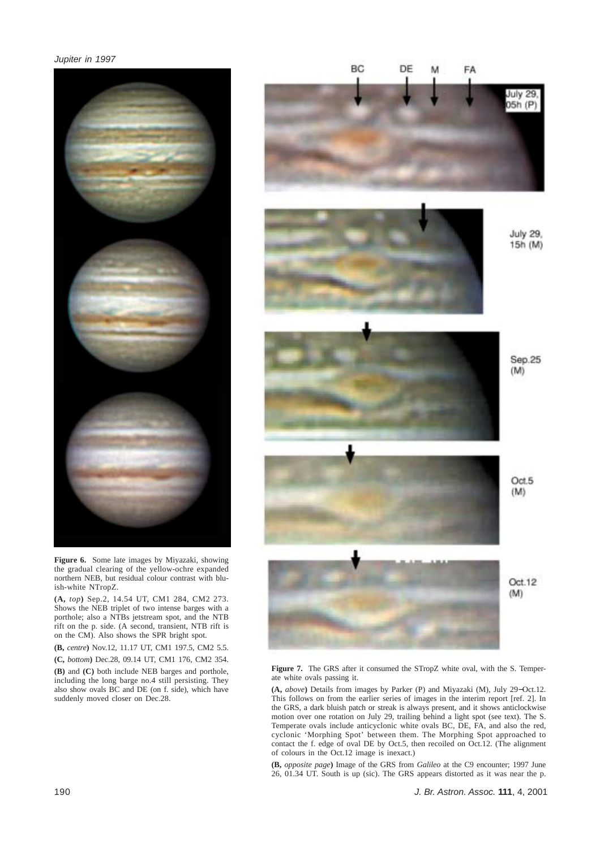

**Figure 6.** Some late images by Miyazaki, showing the gradual clearing of the yellow-ochre expanded northern NEB, but residual colour contrast with bluish-white NTropZ.

**(A,** *top***)** Sep.2, 14.54 UT, CM1 284, CM2 273. Shows the NEB triplet of two intense barges with a porthole; also a NTBs jetstream spot, and the NTB rift on the p. side. (A second, transient, NTB rift is on the CM). Also shows the SPR bright spot.

**(B,** *centre***)** Nov.12, 11.17 UT, CM1 197.5, CM2 5.5. **(C,** *bottom***)** Dec.28, 09.14 UT, CM1 176, CM2 354.

**(B)** and **(C)** both include NEB barges and porthole, including the long barge no.4 still persisting. They also show ovals BC and DE (on f. side), which have suddenly moved closer on Dec.28.

# BC<sub></sub> FA DF M July 29 05h (P)



**July 29.** 15h (M)







Figure 7. The GRS after it consumed the STropZ white oval, with the S. Temperate white ovals passing it.

**(A,** *above***)** Details from images by Parker (P) and Miyazaki (M), July 29−Oct.12. This follows on from the earlier series of images in the interim report [ref. 2]. In the GRS, a dark bluish patch or streak is always present, and it shows anticlockwise motion over one rotation on July 29, trailing behind a light spot (see text). The S. Temperate ovals include anticyclonic white ovals BC, DE, FA, and also the red, cyclonic 'Morphing Spot' between them. The Morphing Spot approached to contact the f. edge of oval DE by Oct.5, then recoiled on Oct.12. (The alignment of colours in the Oct.12 image is inexact.)

**(B,** *opposite page***)** Image of the GRS from *Galileo* at the C9 encounter; 1997 June 26, 01.34 UT. South is up (sic). The GRS appears distorted as it was near the p.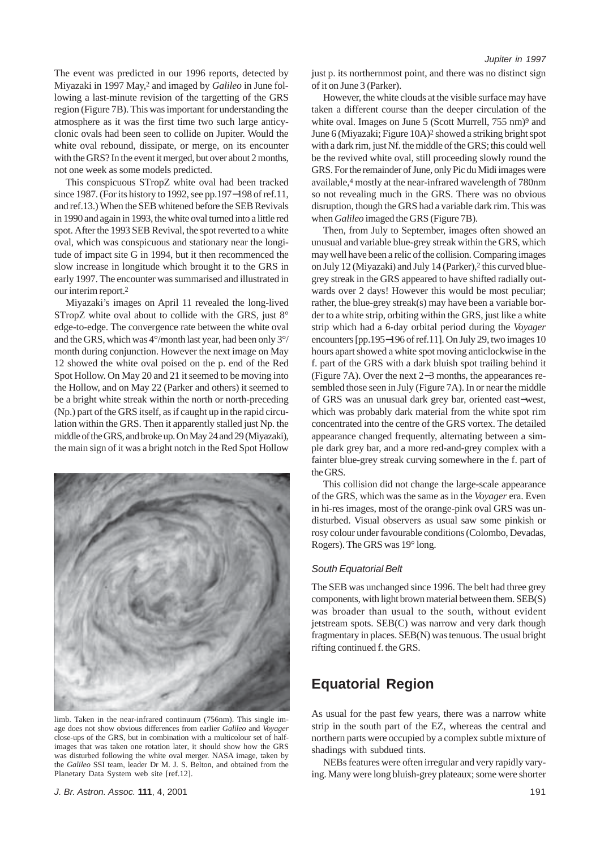The event was predicted in our 1996 reports, detected by Miyazaki in 1997 May,2 and imaged by *Galileo* in June following a last-minute revision of the targetting of the GRS region (Figure 7B). This was important for understanding the atmosphere as it was the first time two such large anticyclonic ovals had been seen to collide on Jupiter. Would the white oval rebound, dissipate, or merge, on its encounter with the GRS? In the event it merged, but over about 2 months, not one week as some models predicted.

This conspicuous STropZ white oval had been tracked since 1987. (For its history to 1992, see pp.197−198 of ref.11, and ref.13.) When the SEB whitened before the SEB Revivals in 1990 and again in 1993, the white oval turned into a little red spot. After the 1993 SEB Revival, the spot reverted to a white oval, which was conspicuous and stationary near the longitude of impact site G in 1994, but it then recommenced the slow increase in longitude which brought it to the GRS in early 1997. The encounter was summarised and illustrated in our interim report.2

Miyazaki's images on April 11 revealed the long-lived STropZ white oval about to collide with the GRS, just 8° edge-to-edge. The convergence rate between the white oval and the GRS, which was 4°/month last year, had been only 3°/ month during conjunction. However the next image on May 12 showed the white oval poised on the p. end of the Red Spot Hollow. On May 20 and 21 it seemed to be moving into the Hollow, and on May 22 (Parker and others) it seemed to be a bright white streak within the north or north-preceding (Np.) part of the GRS itself, as if caught up in the rapid circulation within the GRS. Then it apparently stalled just Np. the middle of the GRS, and broke up. On May 24 and 29 (Miyazaki), the main sign of it was a bright notch in the Red Spot Hollow



limb. Taken in the near-infrared continuum (756nm). This single image does not show obvious differences from earlier *Galileo* and *Voyager* close-ups of the GRS, but in combination with a multicolour set of halfimages that was taken one rotation later, it should show how the GRS was disturbed following the white oval merger. NASA image, taken by the *Galileo* SSI team, leader Dr M. J. S. Belton, and obtained from the Planetary Data System web site [ref.12].

*J. Br. Astron. Assoc.* **111**, 4, 2001

just p. its northernmost point, and there was no distinct sign of it on June 3 (Parker).

However, the white clouds at the visible surface may have taken a different course than the deeper circulation of the white oval. Images on June 5 (Scott Murrell, 755 nm)<sup>9</sup> and June 6 (Miyazaki; Figure 10A)2 showed a striking bright spot with a dark rim, just Nf. the middle of the GRS; this could well be the revived white oval, still proceeding slowly round the GRS. For the remainder of June, only Pic du Midi images were available,4 mostly at the near-infrared wavelength of 780nm so not revealing much in the GRS. There was no obvious disruption, though the GRS had a variable dark rim. This was when *Galileo* imaged the GRS (Figure 7B).

Then, from July to September, images often showed an unusual and variable blue-grey streak within the GRS, which may well have been a relic of the collision. Comparing images on July 12 (Miyazaki) and July 14 (Parker),<sup>2</sup> this curved bluegrey streak in the GRS appeared to have shifted radially outwards over 2 days! However this would be most peculiar; rather, the blue-grey streak(s) may have been a variable border to a white strip, orbiting within the GRS, just like a white strip which had a 6-day orbital period during the *Voyager* encounters [pp.195−196 of ref.11]. On July 29, two images 10 hours apart showed a white spot moving anticlockwise in the f. part of the GRS with a dark bluish spot trailing behind it (Figure 7A). Over the next 2−3 months, the appearances resembled those seen in July (Figure 7A). In or near the middle of GRS was an unusual dark grey bar, oriented east−west, which was probably dark material from the white spot rim concentrated into the centre of the GRS vortex. The detailed appearance changed frequently, alternating between a simple dark grey bar, and a more red-and-grey complex with a fainter blue-grey streak curving somewhere in the f. part of the GRS.

This collision did not change the large-scale appearance of the GRS, which was the same as in the *Voyager* era. Even in hi-res images, most of the orange-pink oval GRS was undisturbed. Visual observers as usual saw some pinkish or rosy colour under favourable conditions (Colombo, Devadas, Rogers). The GRS was 19° long.

#### *South Equatorial Belt*

The SEB was unchanged since 1996. The belt had three grey components, with light brown material between them. SEB(S) was broader than usual to the south, without evident jetstream spots. SEB(C) was narrow and very dark though fragmentary in places. SEB(N) was tenuous. The usual bright rifting continued f. the GRS.

# **Equatorial Region**

As usual for the past few years, there was a narrow white strip in the south part of the EZ, whereas the central and northern parts were occupied by a complex subtle mixture of shadings with subdued tints.

NEBs features were often irregular and very rapidly varying. Many were long bluish-grey plateaux; some were shorter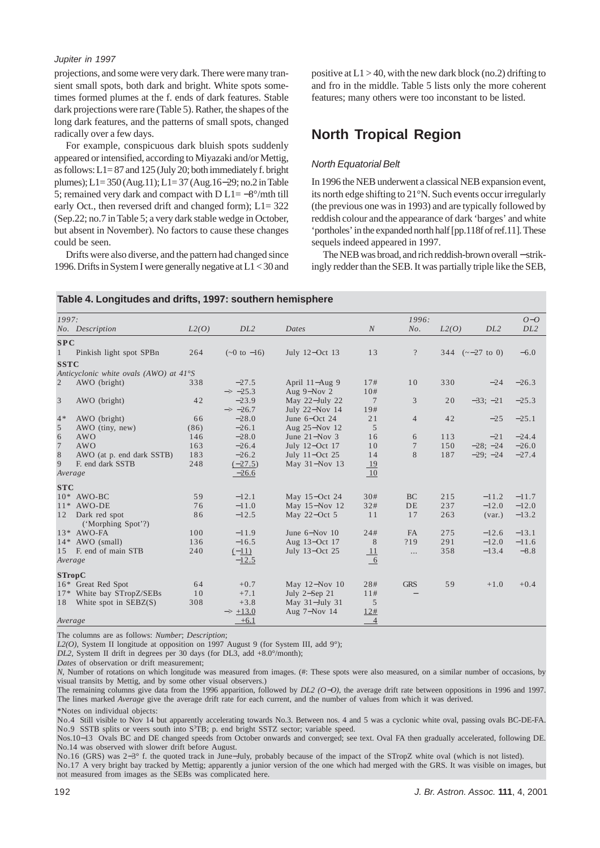projections, and some were very dark. There were many transient small spots, both dark and bright. White spots sometimes formed plumes at the f. ends of dark features. Stable dark projections were rare (Table 5). Rather, the shapes of the long dark features, and the patterns of small spots, changed radically over a few days.

For example, conspicuous dark bluish spots suddenly appeared or intensified, according to Miyazaki and/or Mettig, as follows: L1= 87 and 125 (July 20; both immediately f. bright plumes); L1= 350 (Aug.11); L1= 37 (Aug.16−29; no.2 in Table 5; remained very dark and compact with  $D L1 = -8^{\circ}/m$ th till early Oct., then reversed drift and changed form); L1= 322 (Sep.22; no.7 in Table 5; a very dark stable wedge in October, but absent in November). No factors to cause these changes could be seen.

Drifts were also diverse, and the pattern had changed since 1996. Drifts in System I were generally negative at L1 < 30 and positive at  $L1 > 40$ , with the new dark block (no.2) drifting to and fro in the middle. Table 5 lists only the more coherent features; many others were too inconstant to be listed.

# **North Tropical Region**

## *North Equatorial Belt*

In 1996 the NEB underwent a classical NEB expansion event, its north edge shifting to 21°N. Such events occur irregularly (the previous one was in 1993) and are typically followed by reddish colour and the appearance of dark 'barges' and white 'portholes' in the expanded north half [pp.118f of ref.11]. These sequels indeed appeared in 1997.

The NEB was broad, and rich reddish-brown overall − strikingly redder than the SEB. It was partially triple like the SEB,

| Table 4. Longitudes and drifts, 1997: southern hemisphere |  |
|-----------------------------------------------------------|--|
|-----------------------------------------------------------|--|

| 1997:          |                                        |       |                          |                   |                | 1996:          |       |                           | $O-O$           |
|----------------|----------------------------------------|-------|--------------------------|-------------------|----------------|----------------|-------|---------------------------|-----------------|
|                | No. Description                        | L2(O) | DL <sub>2</sub>          | Dates             | N              | No.            | L2(O) | DL <sub>2</sub>           | DL <sub>2</sub> |
| SPC            |                                        |       |                          |                   |                |                |       |                           |                 |
| $\mathbf{1}$   | Pinkish light spot SPBn                | 264   | $(-0 \text{ to } -16)$   | July 12-Oct 13    | 13             | $\overline{?}$ |       | 344 $(-27 \text{ to } 0)$ | $-6.0$          |
| <b>SSTC</b>    |                                        |       |                          |                   |                |                |       |                           |                 |
|                | Anticyclonic white ovals (AWO) at 41°S |       |                          |                   |                |                |       |                           |                 |
| $\overline{2}$ | AWO (bright)                           | 338   | $-27.5$                  | April 11-Aug 9    | 17#            | 10             | 330   | $-24$                     | $-26.3$         |
|                |                                        |       | $\Rightarrow -25.3$      | Aug 9-Nov 2       | 10#            |                |       |                           |                 |
| 3              | AWO (bright)                           | 42    | $-23.9$                  | May 22-July 22    | 7              | 3              | 20    | $-33; -21$                | $-25.3$         |
|                |                                        |       | $\Rightarrow -26.7$      | July 22-Nov 14    | 19#            |                |       |                           |                 |
| $4*$           | AWO (bright)                           | 66    | $-28.0$                  | June 6-Oct 24     | 21             | $\overline{4}$ | 42    | $-25$                     | $-25.1$         |
| 5              | AWO (tiny, new)                        | (86)  | $-26.1$                  | Aug 25-Nov 12     | 5              |                |       |                           |                 |
| 6              | <b>AWO</b>                             | 146   | $-28.0$                  | June $21 - Nov 3$ | 16             | 6              | 113   | $-21$                     | $-24.4$         |
| 7              | <b>AWO</b>                             | 163   | $-26.4$                  | July 12-Oct 17    | 10             | 7              | 150   | $-28$ ; $-24$             | $-26.0$         |
| 8              | AWO (at p. end dark SSTB)              | 183   | $-26.2$                  | July 11-Oct 25    | 14             | 8              | 187   | $-29; -24$                | $-27.4$         |
| 9              | F. end dark SSTB                       | 248   | $(-27.5)$                | May 31-Nov 13     | 19             |                |       |                           |                 |
| Average        |                                        |       | $-26.6$                  |                   | 10             |                |       |                           |                 |
| <b>STC</b>     |                                        |       |                          |                   |                |                |       |                           |                 |
|                | $10*$ AWO-BC                           | 59    | $-12.1$                  | May 15-Oct 24     | 30#            | <b>BC</b>      | 215   | $-11.2$                   | $-11.7$         |
| $11*$          | AWO-DE                                 | 76    | $-11.0$                  | May 15-Nov 12     | 32#            | DE             | 237   | $-12.0$                   | $-12.0$         |
| 12             | Dark red spot                          | 86    | $-12.5$                  | May 22-Oct 5      | 11             | 17             | 263   | (var.)                    | $-13.2$         |
|                | ('Morphing Spot'?)                     |       |                          |                   |                |                |       |                           |                 |
|                | 13* AWO-FA                             | 100   | $-11.9$                  | June $6-Nov$ 10   | 24#            | <b>FA</b>      | 275   | $-12.6$                   | $-13.1$         |
|                | 14* AWO (small)                        | 136   | $-16.5$                  | Aug 13-Oct 17     | 8              | ?19            | 291   | $-12.0$                   | $-11.6$         |
| 15             | F. end of main STB                     | 240   | $(-11)$                  | July 13-Oct 25    | 11             | .              | 358   | $-13.4$                   | $-8.8$          |
| Average        |                                        |       | $-12.5$                  |                   | $-6$           |                |       |                           |                 |
| <b>STropC</b>  |                                        |       |                          |                   |                |                |       |                           |                 |
|                | 16* Great Red Spot                     | 64    | $+0.7$                   | May 12-Nov 10     | 28#            | <b>GRS</b>     | 59    | $+1.0$                    | $+0.4$          |
|                | 17* White bay STropZ/SEBs              | 10    | $+7.1$                   | July 2-Sep 21     | 11#            |                |       |                           |                 |
| 18             | White spot in SEBZ(S)                  | 308   | $+3.8$                   | May 31-July 31    | 5              |                |       |                           |                 |
|                |                                        |       | $\Rightarrow$ $\pm 13.0$ | Aug 7-Nov 14      | 12#            |                |       |                           |                 |
| Average        |                                        |       | $+6.1$                   |                   | $\overline{4}$ |                |       |                           |                 |

The columns are as follows: *Number*; *Description*;

*L2(O)*, System II longitude at opposition on 1997 August 9 (for System III, add 9°);

*DL2*, System II drift in degrees per 30 days (for DL3, add +8.0°/month);

*Dates* of observation or drift measurement;

*N*, Number of rotations on which longitude was measured from images. (#: These spots were also measured, on a similar number of occasions, by visual transits by Mettig, and by some other visual observers.)

The remaining columns give data from the 1996 apparition, followed by *DL2 (O*−*O)*, the average drift rate between oppositions in 1996 and 1997. The lines marked *Average* give the average drift rate for each current, and the number of values from which it was derived.

\*Notes on individual objects:

No.4 Still visible to Nov 14 but apparently accelerating towards No.3. Between nos. 4 and 5 was a cyclonic white oval, passing ovals BC-DE-FA. No.9 SSTB splits or veers south into S<sup>3</sup>TB; p. end bright SSTZ sector; variable speed.

Nos.10−13 Ovals BC and DE changed speeds from October onwards and converged; see text. Oval FA then gradually accelerated, following DE. No.14 was observed with slower drift before August.

No.16 (GRS) was 2−3° f. the quoted track in June−July, probably because of the impact of the STropZ white oval (which is not listed).

No.17 A very bright bay tracked by Mettig; apparently a junior version of the one which had merged with the GRS. It was visible on images, but not measured from images as the SEBs was complicated here.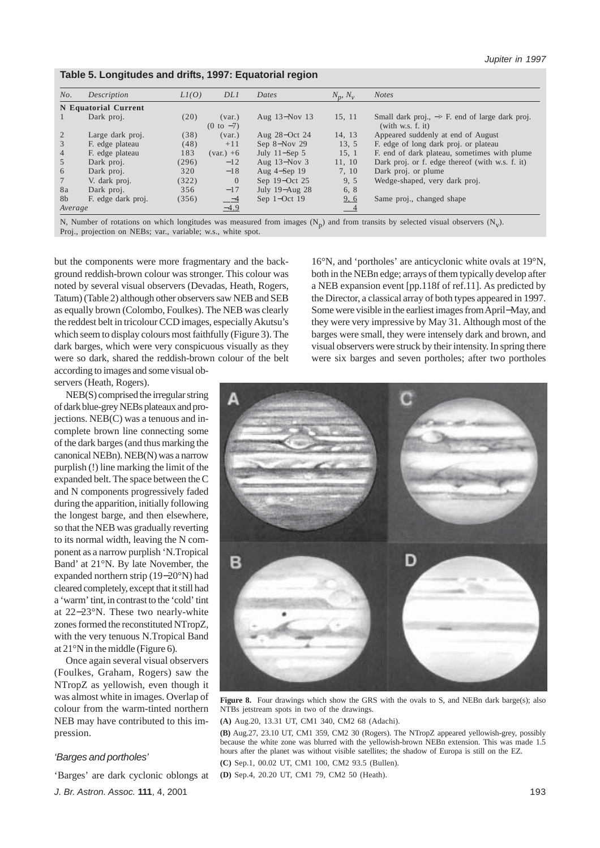| Table 5. Longitudes and drifts, 1997: Equatorial region |  |  |
|---------------------------------------------------------|--|--|
|                                                         |  |  |

| No.             | Description          | LI(O) | DL1                        | Dates            | $N_p$ , $N_v$ | <b>Notes</b>                                                                    |
|-----------------|----------------------|-------|----------------------------|------------------|---------------|---------------------------------------------------------------------------------|
|                 | N Equatorial Current |       |                            |                  |               |                                                                                 |
|                 | Dark proj.           | (20)  | (var.)<br>$(0 to -7)$      | Aug 13-Nov 13    | 15, 11        | Small dark proj., $\rightarrow$ F. end of large dark proj.<br>(with w.s. f. it) |
| 2               | Large dark proj.     | (38)  | (var.)                     | Aug 28-Oct 24    | 14, 13        | Appeared suddenly at end of August                                              |
| 3               | F. edge plateau      | (48)  | $+11$                      | Sep $8 - Nov 29$ | 13, 5         | F. edge of long dark proj. or plateau                                           |
| $\overline{4}$  | F. edge plateau      | 183   | $\frac{\text{(var.)}}{+6}$ | July $11$ –Sep 5 | 15, 1         | F. end of dark plateau, sometimes with plume                                    |
| 5               | Dark proj.           | (296) | $-12$                      | Aug $13-Nov$ 3   | 11, 10        | Dark proj. or f. edge thereof (with w.s. f. it)                                 |
| 6               | Dark proj.           | 320   | $-18$                      | Aug $4-Sep$ 19   | 7.10          | Dark proj. or plume                                                             |
| $7\phantom{.0}$ | V. dark proj.        | (322) | $\theta$                   | Sep 19–Oct 25    | 9, 5          | Wedge-shaped, very dark proj.                                                   |
| 8a              | Dark proj.           | 356   | $-17$                      | July 19-Aug 28   | 6, 8          |                                                                                 |
| 8b              | F. edge dark proj.   | (356) |                            | Sep $1$ -Oct 19  | 9, 6          | Same proj., changed shape                                                       |
| Average         |                      |       | $\frac{-4}{-4.9}$          |                  | $-4$          |                                                                                 |

N, Number of rotations on which longitudes was measured from images  $(N_p)$  and from transits by selected visual observers  $(N_v)$ . Proj., projection on NEBs; var., variable; w.s., white spot.

but the components were more fragmentary and the background reddish-brown colour was stronger. This colour was noted by several visual observers (Devadas, Heath, Rogers, Tatum) (Table 2) although other observers saw NEB and SEB as equally brown (Colombo, Foulkes). The NEB was clearly the reddest belt in tricolour CCD images, especially Akutsu's which seem to display colours most faithfully (Figure 3). The dark barges, which were very conspicuous visually as they were so dark, shared the reddish-brown colour of the belt according to images and some visual ob-

servers (Heath, Rogers).

16°N, and 'portholes' are anticyclonic white ovals at 19°N, both in the NEBn edge; arrays of them typically develop after a NEB expansion event [pp.118f of ref.11]. As predicted by the Director, a classical array of both types appeared in 1997. Some were visible in the earliest images from April−May, and they were very impressive by May 31. Although most of the barges were small, they were intensely dark and brown, and visual observers were struck by their intensity. In spring there were six barges and seven portholes; after two portholes

NEB(S) comprised the irregular string of dark blue-grey NEBs plateaux and projections. NEB(C) was a tenuous and incomplete brown line connecting some of the dark barges (and thus marking the canonical NEBn). NEB(N) was a narrow purplish (!) line marking the limit of the expanded belt. The space between the C and N components progressively faded during the apparition, initially following the longest barge, and then elsewhere, so that the NEB was gradually reverting to its normal width, leaving the N component as a narrow purplish 'N.Tropical в D Band' at 21°N. By late November, the expanded northern strip (19−20°N) had cleared completely, except that it still had a 'warm' tint, in contrast to the 'cold' tint at 22−23°N. These two nearly-white zones formed the reconstituted NTropZ, with the very tenuous N.Tropical Band Once again several visual observers (Foulkes, Graham, Rogers) saw the NTropZ as yellowish, even though it

> Figure 8. Four drawings which show the GRS with the ovals to S, and NEBn dark barge(s); also NTBs jetstream spots in two of the drawings.

**(A)** Aug.20, 13.31 UT, CM1 340, CM2 68 (Adachi).

**(B)** Aug.27, 23.10 UT, CM1 359, CM2 30 (Rogers). The NTropZ appeared yellowish-grey, possibly because the white zone was blurred with the yellowish-brown NEBn extension. This was made 1.5 hours after the planet was without visible satellites; the shadow of Europa is still on the EZ.

**(C)** Sep.1, 00.02 UT, CM1 100, CM2 93.5 (Bullen).

**(D)** Sep.4, 20.20 UT, CM1 79, CM2 50 (Heath).

*J. Br. Astron. Assoc.* **111**, 4, 2001

'Barges' are dark cyclonic oblongs at

*'Barges and portholes'*

at 21°N in the middle (Figure 6).

pression.

was almost white in images. Overlap of colour from the warm-tinted northern NEB may have contributed to this im-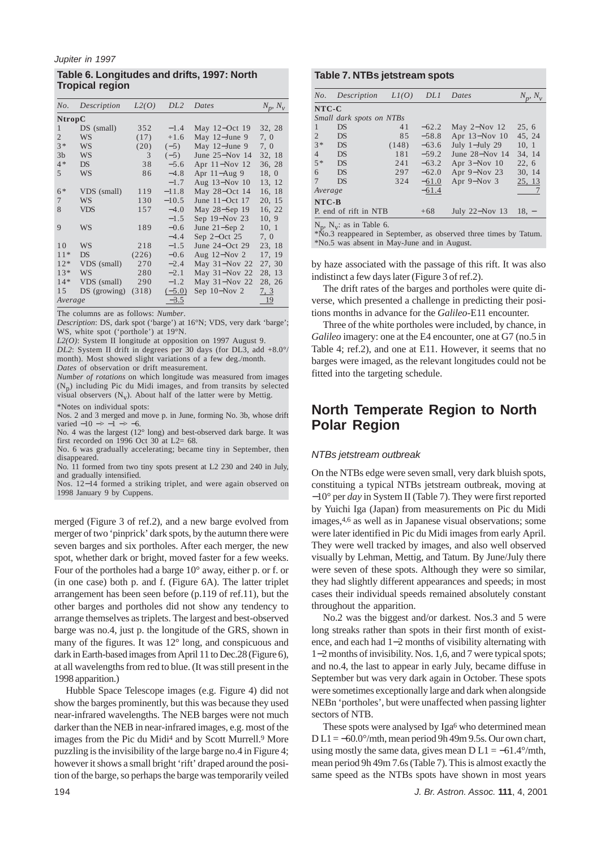## **Table 6. Longitudes and drifts, 1997: North Tropical region**

| No.            | Description  | L2(O) | DL2      | Dates               | $N_p$ , $N_v$ |
|----------------|--------------|-------|----------|---------------------|---------------|
| <b>NtropC</b>  |              |       |          |                     |               |
| $\mathbf{1}$   | $DS$ (small) | 352   | $-1.4$   | May $12$ –Oct 19    | 32, 28        |
| $\overline{2}$ | WS           | (17)  | $+1.6$   | May 12-June 9       | 7, 0          |
| $3*$           | <b>WS</b>    | (20)  | $(-5)$   | May $12$ -June 9    | 7, 0          |
| 3 <sub>b</sub> | <b>WS</b>    | 3     | $(-5)$   | June $25 - Nov$ 14  | 32, 18        |
| $4*$           | <b>DS</b>    | 38    | $-5.6$   | Apr 11-Nov 12       | 36, 28        |
| $\overline{5}$ | <b>WS</b>    | 86    | $-4.8$   | Apr $11 - Aug$ 9    | 18, 0         |
|                |              |       | $-1.7$   | Aug 13-Nov 10       | 13, 12        |
| $6*$           | VDS (small)  | 119   | $-11.8$  | May 28-Oct 14       | 16, 18        |
| $\overline{7}$ | <b>WS</b>    | 130   | $-10.5$  | June 11-Oct 17      | 20, 15        |
| 8              | <b>VDS</b>   | 157   | $-4.0$   | May 28-Sep 19       | 16, 22        |
|                |              |       | $-1.5$   | Sep $19-Nov$ 23     | 10, 9         |
| $\mathbf Q$    | <b>WS</b>    | 189   | $-0.6$   | June $21 -$ Sep $2$ | 10, 1         |
|                |              |       | $-4.4$   | Sep $2$ -Oct 25     | 7, 0          |
| 1 <sub>0</sub> | <b>WS</b>    | 218   | $-1.5$   | June $24$ –Oct 29   | 23, 18        |
| $11*$          | <b>DS</b>    | (226) | $-0.6$   | Aug $12$ –Nov $2$   | 17, 19        |
| $12*$          | VDS (small)  | 270   | $-2.4$   | May 31-Nov 22       | 27, 30        |
| $13*$          | <b>WS</b>    | 280   | $-2.1$   | May 31-Nov 22       | 28, 13        |
| $14*$          | VDS (small)  | 290   | $-1.2$   | May 31-Nov 22       | 28, 26        |
| 15             | DS (growing) | (318) | $(-5.0)$ | Sep $10 - Nov 2$    | 7, 3          |
| Average        |              |       | $-3.5$   |                     | <u>19</u>     |

The columns are as follows: *Number*.

*Description*: DS, dark spot ('barge') at 16°N; VDS, very dark 'barge'; WS, white spot ('porthole') at 19°N.

*L2(O)*: System II longitude at opposition on 1997 August 9.

*DL2*: System II drift in degrees per 30 days (for DL3, add +8.0°/ month). Most showed slight variations of a few deg./month. *Dates* of observation or drift measurement.

*Number of rotations* on which longitude was measured from images  $(N_p)$  including Pic du Midi images, and from transits by selected visual observers  $(N_v)$ . About half of the latter were by Mettig. \*Notes on individual spots:

Nos. 2 and 3 merged and move p. in June, forming No. 3b, whose drift varied  $-10 \Rightarrow -1 \Rightarrow -6$ .

No. 4 was the largest (12° long) and best-observed dark barge. It was first recorded on 1996 Oct 30 at  $L2 = 68$ .

No. 6 was gradually accelerating; became tiny in September, then disappeared.

No. 11 formed from two tiny spots present at L2 230 and 240 in July, and gradually intensified.

Nos. 12−14 formed a striking triplet, and were again observed on 1998 January 9 by Cuppens.

merged (Figure 3 of ref.2), and a new barge evolved from merger of two 'pinprick' dark spots, by the autumn there were seven barges and six portholes. After each merger, the new spot, whether dark or bright, moved faster for a few weeks. Four of the portholes had a barge 10° away, either p. or f. or (in one case) both p. and f. (Figure 6A). The latter triplet arrangement has been seen before (p.119 of ref.11), but the other barges and portholes did not show any tendency to arrange themselves as triplets. The largest and best-observed barge was no.4, just p. the longitude of the GRS, shown in many of the figures. It was 12° long, and conspicuous and dark in Earth-based images from April 11 to Dec.28 (Figure 6), at all wavelengths from red to blue. (It was still present in the 1998 apparition.)

Hubble Space Telescope images (e.g. Figure 4) did not show the barges prominently, but this was because they used near-infrared wavelengths. The NEB barges were not much darker than the NEB in near-infrared images, e.g. most of the images from the Pic du Midi<sup>4</sup> and by Scott Murrell.<sup>9</sup> More puzzling is the invisibility of the large barge no.4 in Figure 4; however it shows a small bright 'rift' draped around the position of the barge, so perhaps the barge was temporarily veiled

## **Table 7. NTBs jetstream spots**

| No.            | Description              | LI(O) | DL1     | Dates              | $N_{n}$ , $N_{n}$ |  |  |  |  |  |
|----------------|--------------------------|-------|---------|--------------------|-------------------|--|--|--|--|--|
|                | $NTC-C$                  |       |         |                    |                   |  |  |  |  |  |
|                | Small dark spots on NTBs |       |         |                    |                   |  |  |  |  |  |
|                | DS                       | 41    | $-62.2$ | May $2-Nov$ 12     | 25, 6             |  |  |  |  |  |
| 2              | DS                       | 85    | $-58.8$ | Apr 13-Nov 10      | 45, 24            |  |  |  |  |  |
| $3*$           | DS                       | (148) | $-63.6$ | July 1-July 29     | 10, 1             |  |  |  |  |  |
| $\overline{4}$ | DS                       | 181   | $-59.2$ | June $28 - Nov 14$ | 34, 14            |  |  |  |  |  |
| $5*$           | <b>DS</b>                | 241   | $-63.2$ | Apr $3-Nov$ 10     | 22, 6             |  |  |  |  |  |
| 6              | <b>DS</b>                | 297   | $-62.0$ | Apr 9-Nov 23       | 30, 14            |  |  |  |  |  |
| 7              | DS                       | 324   | $-61.0$ | Apr 9-Nov 3        | 25, 13            |  |  |  |  |  |
|                | Average                  |       | $-61.4$ |                    | 7                 |  |  |  |  |  |
|                | NTC-B                    |       |         |                    |                   |  |  |  |  |  |
|                | P. end of rift in NTB    |       | $+68$   | July 22–Nov 13     | $18. -$           |  |  |  |  |  |
| N              | $N \cdot$ as in Table 6  |       |         |                    |                   |  |  |  |  |  |

 $N_p$ ,  $N_v$ : as in Table 6.<br>\*No.3 reappeared in September, as observed three times by Tatum. \*No.5 was absent in May-June and in August.

by haze associated with the passage of this rift. It was also indistinct a few days later (Figure 3 of ref.2).

The drift rates of the barges and portholes were quite diverse, which presented a challenge in predicting their positions months in advance for the *Galileo*-E11 encounter.

Three of the white portholes were included, by chance, in *Galileo* imagery: one at the E4 encounter, one at G7 (no.5 in Table 4; ref.2), and one at E11. However, it seems that no barges were imaged, as the relevant longitudes could not be fitted into the targeting schedule.

# **North Temperate Region to North Polar Region**

## *NTBs jetstream outbreak*

On the NTBs edge were seven small, very dark bluish spots, constituing a typical NTBs jetstream outbreak, moving at −10° per *day* in System II (Table 7). They were first reported by Yuichi Iga (Japan) from measurements on Pic du Midi images,4,6 as well as in Japanese visual observations; some were later identified in Pic du Midi images from early April. They were well tracked by images, and also well observed visually by Lehman, Mettig, and Tatum. By June/July there were seven of these spots. Although they were so similar, they had slightly different appearances and speeds; in most cases their individual speeds remained absolutely constant throughout the apparition.

No.2 was the biggest and/or darkest. Nos.3 and 5 were long streaks rather than spots in their first month of existence, and each had 1−2 months of visibility alternating with 1−2 months of invisibility. Nos. 1,6, and 7 were typical spots; and no.4, the last to appear in early July, became diffuse in September but was very dark again in October. These spots were sometimes exceptionally large and dark when alongside NEBn 'portholes', but were unaffected when passing lighter sectors of NTB.

These spots were analysed by Iga<sup>6</sup> who determined mean  $D L1 = -60.0^{\circ}/m$ th, mean period 9h 49m 9.5s. Our own chart, using mostly the same data, gives mean  $D L1 = -61.4^{\circ}/m$ th, mean period 9h 49m 7.6s (Table 7). This is almost exactly the same speed as the NTBs spots have shown in most years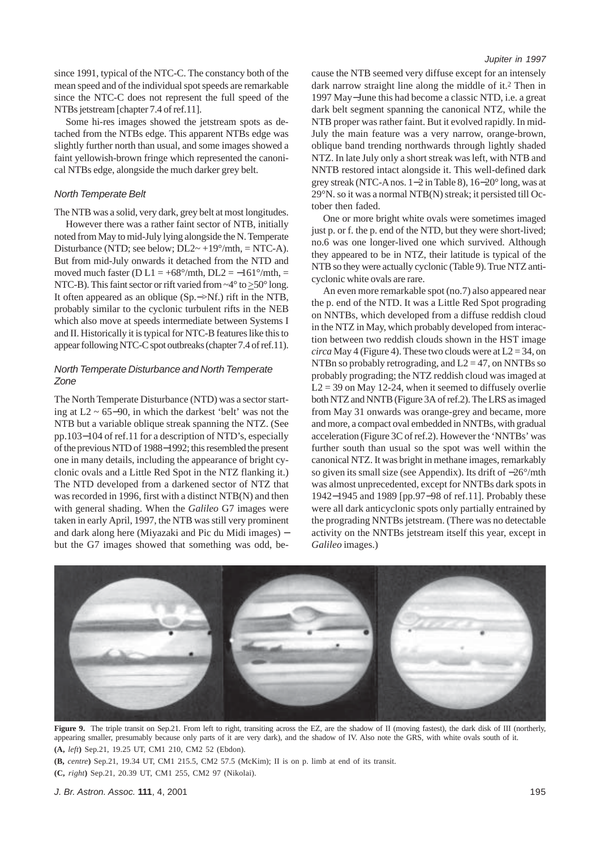since 1991, typical of the NTC-C. The constancy both of the mean speed and of the individual spot speeds are remarkable since the NTC-C does not represent the full speed of the NTBs jetstream [chapter 7.4 of ref.11].

Some hi-res images showed the jetstream spots as detached from the NTBs edge. This apparent NTBs edge was slightly further north than usual, and some images showed a faint yellowish-brown fringe which represented the canonical NTBs edge, alongside the much darker grey belt.

### *North Temperate Belt*

The NTB was a solid, very dark, grey belt at most longitudes. However there was a rather faint sector of NTB, initially noted from May to mid-July lying alongside the N. Temperate Disturbance (NTD; see below;  $DL2~+19^{\circ}/mth$ ,  $=$  NTC-A). But from mid-July onwards it detached from the NTD and moved much faster (D L1 =  $+68^{\circ}/m$ th, DL2 =  $-161^{\circ}/m$ th, = NTC-B). This faint sector or rift varied from ~4° to >50° long. It often appeared as an oblique (Sp.−>Nf.) rift in the NTB, probably similar to the cyclonic turbulent rifts in the NEB which also move at speeds intermediate between Systems I and II. Historically it is typical for NTC-B features like this to appear following NTC-C spot outbreaks (chapter 7.4 of ref.11).

## *North Temperate Disturbance and North Temperate Zone*

The North Temperate Disturbance (NTD) was a sector starting at L2 ~ 65−90, in which the darkest 'belt' was not the NTB but a variable oblique streak spanning the NTZ. (See pp.103−104 of ref.11 for a description of NTD's, especially of the previous NTD of 1988−1992; this resembled the present one in many details, including the appearance of bright cyclonic ovals and a Little Red Spot in the NTZ flanking it.) The NTD developed from a darkened sector of NTZ that was recorded in 1996, first with a distinct NTB(N) and then with general shading. When the *Galileo* G7 images were taken in early April, 1997, the NTB was still very prominent and dark along here (Miyazaki and Pic du Midi images) − but the G7 images showed that something was odd, because the NTB seemed very diffuse except for an intensely dark narrow straight line along the middle of it.2 Then in 1997 May−June this had become a classic NTD, i.e. a great dark belt segment spanning the canonical NTZ, while the NTB proper was rather faint. But it evolved rapidly. In mid-July the main feature was a very narrow, orange-brown, oblique band trending northwards through lightly shaded NTZ. In late July only a short streak was left, with NTB and NNTB restored intact alongside it. This well-defined dark grey streak (NTC-A nos. 1−2 in Table 8), 16−20° long, was at 29°N. so it was a normal NTB(N) streak; it persisted till October then faded.

One or more bright white ovals were sometimes imaged just p. or f. the p. end of the NTD, but they were short-lived; no.6 was one longer-lived one which survived. Although they appeared to be in NTZ, their latitude is typical of the NTB so they were actually cyclonic (Table 9). True NTZ anticyclonic white ovals are rare.

An even more remarkable spot (no.7) also appeared near the p. end of the NTD. It was a Little Red Spot prograding on NNTBs, which developed from a diffuse reddish cloud in the NTZ in May, which probably developed from interaction between two reddish clouds shown in the HST image *circa* May 4 (Figure 4). These two clouds were at  $L2 = 34$ , on NTBn so probably retrograding, and  $L2 = 47$ , on NNTBs so probably prograding; the NTZ reddish cloud was imaged at  $L2 = 39$  on May 12-24, when it seemed to diffusely overlie both NTZ and NNTB (Figure 3A of ref.2). The LRS as imaged from May 31 onwards was orange-grey and became, more and more, a compact oval embedded in NNTBs, with gradual acceleration (Figure 3C of ref.2). However the 'NNTBs' was further south than usual so the spot was well within the canonical NTZ. It was bright in methane images, remarkably so given its small size (see Appendix). Its drift of −26°/mth was almost unprecedented, except for NNTBs dark spots in 1942−1945 and 1989 [pp.97−98 of ref.11]. Probably these were all dark anticyclonic spots only partially entrained by the prograding NNTBs jetstream. (There was no detectable activity on the NNTBs jetstream itself this year, except in *Galileo* images.)



Figure 9. The triple transit on Sep.21. From left to right, transiting across the EZ, are the shadow of II (moving fastest), the dark disk of III (northerly, appearing smaller, presumably because only parts of it are very dark), and the shadow of IV. Also note the GRS, with white ovals south of it. **(A,** *left***)** Sep.21, 19.25 UT, CM1 210, CM2 52 (Ebdon).

**(B,** *centre***)** Sep.21, 19.34 UT, CM1 215.5, CM2 57.5 (McKim); II is on p. limb at end of its transit.

**(C,** *right***)** Sep.21, 20.39 UT, CM1 255, CM2 97 (Nikolai).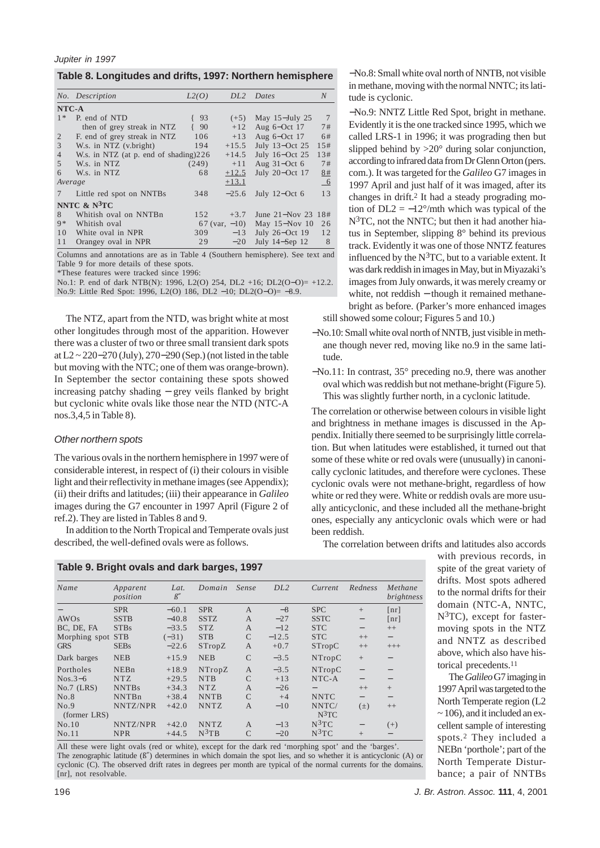| Table 8. Longitudes and drifts, 1997: Northern hemisphere |  |  |
|-----------------------------------------------------------|--|--|
|-----------------------------------------------------------|--|--|

|                | No. Description                       | L2(O) | DL <sub>2</sub>    | Dates              | $\boldsymbol{N}$ |
|----------------|---------------------------------------|-------|--------------------|--------------------|------------------|
| NTC-A          |                                       |       |                    |                    |                  |
| $1 *$          | P. end of NTD                         | 93    | $(+5)$             | May $15 - July 25$ | 7                |
|                | then of grey streak in NTZ            | 90    | $+12$              | Aug 6-Oct 17       | 7#               |
| 2              | F. end of grey streak in NTZ          | 106   | $+13$              | Aug 6-Oct 17       | 6#               |
| 3              | W.s. in NTZ (v.bright)                | 194   | $+15.5$            | July 13-Oct 25     | 1.5#             |
| $\overline{4}$ | W.s. in NTZ (at p. end of shading)226 |       | $+14.5$            | July 16-Oct 25     | 1.3#             |
| 5              | W.s. in NTZ                           | (249) | $+11$              | Aug $31$ –Oct 6    | 7#               |
| 6              | W.s. in NTZ                           | 68    | $+12.5$            | July 20-Oct 17     | 8#               |
| Average        |                                       |       | $+13.1$            |                    | $-6$             |
|                | Little red spot on NNTBs              | 348   | $-25.6$            | July $12$ –Oct 6   | 13               |
|                | NNTC $\&$ N <sup>3</sup> TC           |       |                    |                    |                  |
| 8              | Whitish oval on NNTBn                 | 152   | $+3.7$             | June 21-Nov 23 18# |                  |
| $9 *$          | Whitish oval                          |       | $67$ (var, $-10$ ) | May 15-Nov 10      | 26               |
| 10             | White oval in NPR                     | 309   | $-13$              | July 26-Oct 19     | 12               |
| 11             | Orangey oval in NPR                   | 29    | $-20$              | July 14-Sep 12     | 8                |

Columns and annotations are as in Table 4 (Southern hemisphere). See text and Table 9 for more details of these spots.

\*These features were tracked since 1996:

No.1: P. end of dark NTB(N): 1996, L2(O) 254, DL2 +16; DL2(O-O)= +12.2. No.9: Little Red Spot: 1996, L2(O) 186, DL2 −10; DL2(O−O)= −8.9.

The NTZ, apart from the NTD, was bright white at most other longitudes through most of the apparition. However there was a cluster of two or three small transient dark spots at L2 ~ 220−270 (July), 270−290 (Sep.) (not listed in the table but moving with the NTC; one of them was orange-brown). In September the sector containing these spots showed increasing patchy shading − grey veils flanked by bright but cyclonic white ovals like those near the NTD (NTC-A nos.3,4,5 in Table 8).

#### *Other northern spots*

The various ovals in the northern hemisphere in 1997 were of considerable interest, in respect of (i) their colours in visible light and their reflectivity in methane images (see Appendix); (ii) their drifts and latitudes; (iii) their appearance in *Galileo* images during the G7 encounter in 1997 April (Figure 2 of ref.2). They are listed in Tables 8 and 9.

In addition to the North Tropical and Temperate ovals just described, the well-defined ovals were as follows.

|  | Table 9. Bright ovals and dark barges, 1997 |  |  |  |
|--|---------------------------------------------|--|--|--|
|--|---------------------------------------------|--|--|--|

−No.8: Small white oval north of NNTB, not visible in methane, moving with the normal NNTC; its latitude is cyclonic.

−No.9: NNTZ Little Red Spot, bright in methane. Evidently it is the one tracked since 1995, which we called LRS-1 in 1996; it was prograding then but slipped behind by >20° during solar conjunction, according to infrared data from Dr Glenn Orton (pers. com.). It was targeted for the *Galileo* G7 images in 1997 April and just half of it was imaged, after its changes in drift.2 It had a steady prograding motion of  $DL2 = -12^{\circ}/m$ th which was typical of the N3TC, not the NNTC; but then it had another hiatus in September, slipping 8° behind its previous track. Evidently it was one of those NNTZ features influenced by the  $N<sup>3</sup>TC$ , but to a variable extent. It was dark reddish in images in May, but in Miyazaki's images from July onwards, it was merely creamy or white, not reddish – though it remained methanebright as before. (Parker's more enhanced images still showed some colour; Figures 5 and 10.)

−No.10: Small white oval north of NNTB, just visible in methane though never red, moving like no.9 in the same lati-

tude.

−No.11: In contrast, 35° preceding no.9, there was another oval which was reddish but not methane-bright (Figure 5). This was slightly further north, in a cyclonic latitude.

The correlation or otherwise between colours in visible light and brightness in methane images is discussed in the Appendix. Initially there seemed to be surprisingly little correlation. But when latitudes were established, it turned out that some of these white or red ovals were (unusually) in canonically cyclonic latitudes, and therefore were cyclones. These cyclonic ovals were not methane-bright, regardless of how white or red they were. White or reddish ovals are more usually anticyclonic, and these included all the methane-bright ones, especially any anticyclonic ovals which were or had been reddish.

The correlation between drifts and latitudes also accords

| Name          | Apparent<br>position | Lat.<br>$\beta''$ | Domain      | Sense          | DL <sub>2</sub> | Current       | Redness                  | Methane<br>brightness    |
|---------------|----------------------|-------------------|-------------|----------------|-----------------|---------------|--------------------------|--------------------------|
|               | <b>SPR</b>           | $-60.1$           | <b>SPR</b>  | $\overline{A}$ | $-8$            | <b>SPC</b>    | $+$                      | $\lceil nr \rceil$       |
| AWOs          | <b>SSTB</b>          | $-40.8$           | <b>SSTZ</b> | $\mathbf{A}$   | $-27$           | <b>SSTC</b>   | $\qquad \qquad -$        | $\lceil nr \rceil$       |
| BC, DE, FA    | <b>STBs</b>          | $-33.5$           | <b>STZ</b>  | $\mathbf{A}$   | $-12$           | <b>STC</b>    | $\qquad \qquad -$        | $++$                     |
| Morphing spot | <b>STB</b>           | $(-31)$           | <b>STB</b>  | C              | $-12.5$         | <b>STC</b>    | $++$                     | $\overline{\phantom{0}}$ |
| <b>GRS</b>    | <b>SEBs</b>          | $-22.6$           | STropZ      | A              | $+0.7$          | <b>STropC</b> | $++$                     | $+++$                    |
| Dark barges   | <b>NEB</b>           | $+15.9$           | <b>NEB</b>  | $\mathcal{C}$  | $-3.5$          | NTropC        | $+$                      |                          |
| Portholes     | NEBn                 | $+18.9$           | NTropZ      | A              | $-3.5$          | NTropC        | $\overline{\phantom{0}}$ |                          |
| $Nos.3-6$     | <b>NTZ</b>           | $+29.5$           | <b>NTB</b>  | $\mathcal{C}$  | $+13$           | NTC-A         |                          |                          |
| $No.7$ (LRS)  | <b>NNTBs</b>         | $+34.3$           | <b>NTZ</b>  | A              | $-26$           |               | $++$                     | $^{+}$                   |
| No.8          | <b>NNTBn</b>         | $+38.4$           | <b>NNTB</b> | C              | $+4$            | <b>NNTC</b>   |                          |                          |
| No.9          | NNTZ/NPR             | $+42.0$           | <b>NNTZ</b> | A              | $-10$           | NNTC/         | $(\pm)$                  | $++$                     |
| (former LRS)  |                      |                   |             |                |                 | $N^3TC$       |                          |                          |
| No.10         | NNTZ/NPR             | $+42.0$           | <b>NNTZ</b> | $\mathbf{A}$   | $-13$           | $N^3TC$       |                          | $(+)$                    |
| No.11         | <b>NPR</b>           | $+44.5$           | $N^3TB$     | $\mathcal{C}$  | $-20$           | $N^3TC$       | $+$                      |                          |

All these were light ovals (red or white), except for the dark red 'morphing spot' and the 'barges'. The zenographic latitude (ß″) determines in which domain the spot lies, and so whether it is anticyclonic (A) or cyclonic (C). The observed drift rates in degrees per month are typical of the normal currents for the domains. [nr], not resolvable.

with previous records, in spite of the great variety of drifts. Most spots adhered to the normal drifts for their domain (NTC-A, NNTC, N3TC), except for fastermoving spots in the NTZ and NNTZ as described above, which also have historical precedents.11

The *Galileo* G7 imaging in 1997 April was targeted to the North Temperate region (L2 ~ 106), and it included an excellent sample of interesting spots.2 They included a NEBn 'porthole'; part of the North Temperate Disturbance; a pair of NNTBs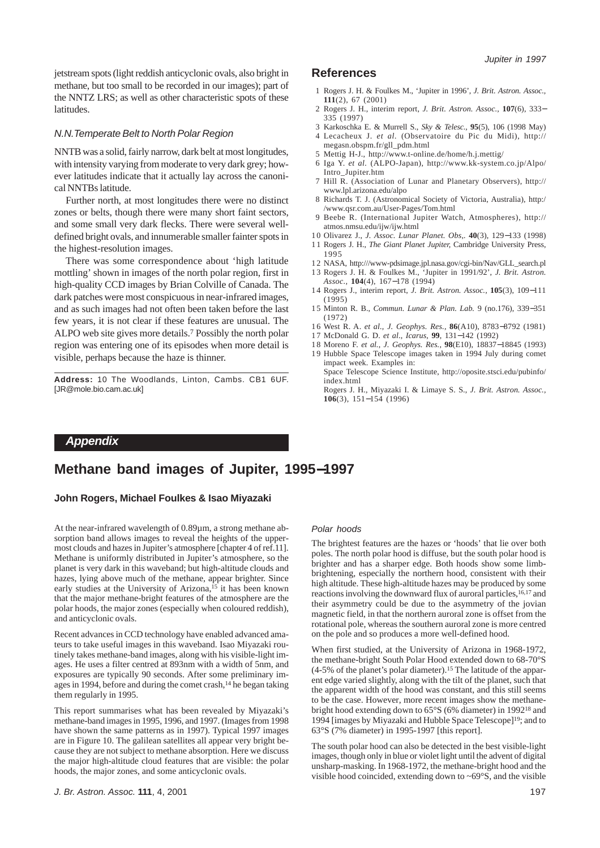jetstream spots (light reddish anticyclonic ovals, also bright in methane, but too small to be recorded in our images); part of the NNTZ LRS; as well as other characteristic spots of these latitudes.

#### *N.N.Temperate Belt to North Polar Region*

NNTB was a solid, fairly narrow, dark belt at most longitudes, with intensity varying from moderate to very dark grey; however latitudes indicate that it actually lay across the canonical NNTBs latitude.

Further north, at most longitudes there were no distinct zones or belts, though there were many short faint sectors, and some small very dark flecks. There were several welldefined bright ovals, and innumerable smaller fainter spots in the highest-resolution images.

There was some correspondence about 'high latitude mottling' shown in images of the north polar region, first in high-quality CCD images by Brian Colville of Canada. The dark patches were most conspicuous in near-infrared images, and as such images had not often been taken before the last few years, it is not clear if these features are unusual. The ALPO web site gives more details.7 Possibly the north polar region was entering one of its episodes when more detail is visible, perhaps because the haze is thinner.

**Address:** 10 The Woodlands, Linton, Cambs. CB1 6UF. [JR@mole.bio.cam.ac.uk]

# **References**

- 1 Rogers J. H. & Foulkes M., 'Jupiter in 1996', *J. Brit. Astron. Assoc.,* **111**(2), 67 (2001)
- 2 Rogers J. H., interim report, *J. Brit. Astron. Assoc.,* **107**(6), 333− 335 (1997)
- 3 Karkoschka E. & Murrell S., *Sky & Telesc.,* **95**(5), 106 (1998 May)
- 4 Lecacheux J. *et al.* (Observatoire du Pic du Midi), http:// megasn.obspm.fr/gll\_pdm.html
- 5 Mettig H-J., http://www.t-online.de/home/h.j.mettig/
- 6 Iga Y. *et al.* (ALPO-Japan), http://www.kk-system.co.jp/Alpo/ Intro\_Jupiter.htm
- 7 Hill R. (Association of Lunar and Planetary Observers), http:// www.lpl.arizona.edu/alpo
- 8 Richards T. J. (Astronomical Society of Victoria, Australia), http:/ /www.qsr.com.au/User-Pages/Tom.html
- 9 Beebe R. (International Jupiter Watch, Atmospheres), http:// atmos.nmsu.edu/ijw/ijw.html
- 10 Olivarez J., *J. Assoc. Lunar Planet. Obs,.* **40**(3), 129−133 (1998)
- 1 1 Rogers J. H., *The Giant Planet Jupiter,* Cambridge University Press, 1995
- 1 2 NASA, http:///www-pdsimage.jpl.nasa.gov/cgi-bin/Nav/GLL\_search.pl 13 Rogers J. H. & Foulkes M., 'Jupiter in 1991/92', *J. Brit. Astron.*
- *Assoc.,* **104**(4), 167−178 (1994) 14 Rogers J., interim report, *J. Brit. Astron. Assoc.,* **105**(3), 109−111
- (1995) 1 5 Minton R. B., *Commun. Lunar & Plan. Lab.* 9 (no.176), 339−351  $(1972)$
- 1 6 West R. A. *et al., J. Geophys. Res.,* **86**(A10), 8783−8792 (1981)
- 17 McDonald G. D. *et al*., *Icarus,* **99**, 131−142 (1992)
- 1 8 Moreno F. *et al.*, *J. Geophys. Res.,* **98**(E10), 18837−18845 (1993)
- 19 Hubble Space Telescope images taken in 1994 July during comet impact week. Examples in:
	- Space Telescope Science Institute, http://oposite.stsci.edu/pubinfo/ index.html

Rogers J. H., Miyazaki I. & Limaye S. S., *J. Brit. Astron. Assoc.,* **106**(3), 151−154 (1996)

# *Appendix*

# **Methane band images of Jupiter, 1995**−**1997**

## **John Rogers, Michael Foulkes & Isao Miyazaki**

At the near-infrared wavelength of 0.89µm, a strong methane absorption band allows images to reveal the heights of the uppermost clouds and hazes in Jupiter's atmosphere [chapter 4 of ref.11]. Methane is uniformly distributed in Jupiter's atmosphere, so the planet is very dark in this waveband; but high-altitude clouds and hazes, lying above much of the methane, appear brighter. Since early studies at the University of Arizona,<sup>15</sup> it has been known that the major methane-bright features of the atmosphere are the polar hoods, the major zones (especially when coloured reddish), and anticyclonic ovals.

Recent advances in CCD technology have enabled advanced amateurs to take useful images in this waveband. Isao Miyazaki routinely takes methane-band images, along with his visible-light images. He uses a filter centred at 893nm with a width of 5nm, and exposures are typically 90 seconds. After some preliminary images in 1994, before and during the comet crash,14 he began taking them regularly in 1995.

This report summarises what has been revealed by Miyazaki's methane-band images in 1995, 1996, and 1997. (Images from 1998 have shown the same patterns as in 1997). Typical 1997 images are in Figure 10. The galilean satellites all appear very bright because they are not subject to methane absorption. Here we discuss the major high-altitude cloud features that are visible: the polar hoods, the major zones, and some anticyclonic ovals.

#### *Polar hoods*

The brightest features are the hazes or 'hoods' that lie over both poles. The north polar hood is diffuse, but the south polar hood is brighter and has a sharper edge. Both hoods show some limbbrightening, especially the northern hood, consistent with their high altitude. These high-altitude hazes may be produced by some reactions involving the downward flux of auroral particles, <sup>16,17</sup> and their asymmetry could be due to the asymmetry of the jovian magnetic field, in that the northern auroral zone is offset from the rotational pole, whereas the southern auroral zone is more centred on the pole and so produces a more well-defined hood.

When first studied, at the University of Arizona in 1968-1972, the methane-bright South Polar Hood extended down to 68-70°S  $(4-5\%$  of the planet's polar diameter).<sup>15</sup> The latitude of the apparent edge varied slightly, along with the tilt of the planet, such that the apparent width of the hood was constant, and this still seems to be the case. However, more recent images show the methanebright hood extending down to 65°S (6% diameter) in 199218 and 1994 [images by Miyazaki and Hubble Space Telescope]19; and to 63°S (7% diameter) in 1995-1997 [this report].

The south polar hood can also be detected in the best visible-light images, though only in blue or violet light until the advent of digital unsharp-masking. In 1968-1972, the methane-bright hood and the visible hood coincided, extending down to ~69°S, and the visible